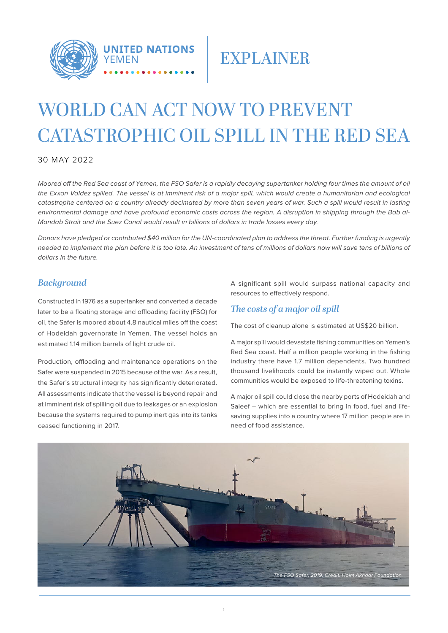

## **EXPLAINER**

# WORLD CAN ACT NOW TO PREVENT CATASTROPHIC OIL SPILL IN THE RED SEA

30 MAY 2022

Moored off the Red Sea coast of Yemen, the FSO Safer is a rapidly decaying supertanker holding four times the amount of oil the Exxon Valdez spilled. The vessel is at imminent risk of a major spill, which would create a humanitarian and ecological catastrophe centered on a country already decimated by more than seven years of war. Such a spill would result in lasting environmental damage and have profound economic costs across the region. A disruption in shipping through the Bab al-Mandab Strait and the Suez Canal would result in billions of dollars in trade losses every day.

Donors have pledged or contributed \$40 million for the UN-coordinated plan to address the threat. Further funding is urgently needed to implement the plan before it is too late. An investment of tens of millions of dollars now will save tens of billions of dollars in the future.

### *Background*

Constructed in 1976 as a supertanker and converted a decade later to be a floating storage and offloading facility (FSO) for oil, the Safer is moored about 4.8 nautical miles off the coast of Hodeidah governorate in Yemen. The vessel holds an estimated 1.14 million barrels of light crude oil.

Production, offloading and maintenance operations on the Safer were suspended in 2015 because of the war. As a result, the Safer's structural integrity has significantly deteriorated. All assessments indicate that the vessel is beyond repair and at imminent risk of spilling oil due to leakages or an explosion because the systems required to pump inert gas into its tanks ceased functioning in 2017.

A significant spill would surpass national capacity and resources to effectively respond.

### *The costs of a major oil spill*

The cost of cleanup alone is estimated at US\$20 billion.

A major spill would devastate fishing communities on Yemen's Red Sea coast. Half a million people working in the fishing industry there have 1.7 million dependents. Two hundred thousand livelihoods could be instantly wiped out. Whole communities would be exposed to life-threatening toxins.

A major oil spill could close the nearby ports of Hodeidah and Saleef – which are essential to bring in food, fuel and lifesaving supplies into a country where 17 million people are in need of food assistance.